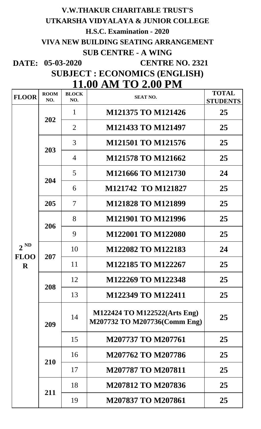## **V.W.THAKUR CHARITABLE TRUST'S UTKARSHA VIDYALAYA & JUNIOR COLLEGE H.S.C. Examination - 2020 VIVA NEW BUILDING SEATING ARRANGEMENT SUB CENTRE - A WING**

**DATE: 05-03-2020**

 **CENTRE NO. 2321**

**SUBJECT : ECONOMICS (ENGLISH)**

| <b>11.00 AM TO 2.00 PM</b> |                    |                     |                                                              |                                 |  |
|----------------------------|--------------------|---------------------|--------------------------------------------------------------|---------------------------------|--|
| <b>FLOOR</b>               | <b>ROOM</b><br>NO. | <b>BLOCK</b><br>NO. | <b>SEAT NO.</b>                                              | <b>TOTAL</b><br><b>STUDENTS</b> |  |
|                            | 202                | 1                   | <b>M121375 TO M121426</b>                                    | 25                              |  |
|                            |                    | $\overline{2}$      | M121433 TO M121497                                           | 25                              |  |
|                            | 203                | 3                   | <b>M121501 TO M121576</b>                                    | 25                              |  |
|                            |                    | $\overline{4}$      | <b>M121578 TO M121662</b>                                    | 25                              |  |
|                            |                    | 5                   | M121666 TO M121730                                           | 24                              |  |
|                            | 204                | 6                   | M121742 TO M121827                                           | 25                              |  |
|                            | 205                | $\overline{7}$      | <b>M121828 TO M121899</b>                                    | 25                              |  |
| $2^{ND}$                   | 206                | 8                   | <b>M121901 TO M121996</b>                                    | 25                              |  |
|                            |                    | 9                   | <b>M122001 TO M122080</b>                                    | 25                              |  |
|                            | 207                | 10                  | M122082 TO M122183                                           | 24                              |  |
| <b>FLOO</b><br>$\bf R$     |                    | 11                  | M122185 TO M122267                                           | 25                              |  |
|                            |                    | 12                  | M122269 TO M122348                                           | 25                              |  |
|                            |                    | 208<br>13           | M122349 TO M122411                                           | 25                              |  |
|                            | 209                | 14                  | M122424 TO M122522(Arts Eng)<br>M207732 TO M207736(Comm Eng) | 25                              |  |
|                            |                    | 15                  | M207737 TO M207761                                           | 25                              |  |
|                            | 210                | 16                  | M207762 TO M207786                                           | 25                              |  |
|                            |                    | 17                  | <b>M207787 TO M207811</b>                                    | 25                              |  |
|                            |                    | 18                  | M207812 TO M207836                                           | 25                              |  |
|                            | 211                | 19                  | <b>M207837 TO M207861</b>                                    | 25                              |  |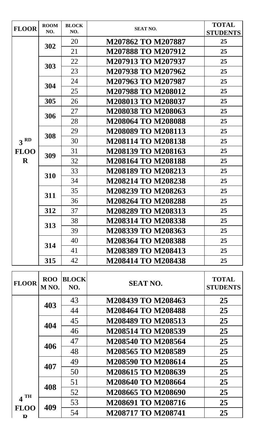| <b>FLOOR</b>    | <b>ROOM</b> | <b>BLOCK</b> | <b>SEAT NO.</b>           | <b>TOTAL</b>    |
|-----------------|-------------|--------------|---------------------------|-----------------|
|                 | NO.         | NO.          |                           | <b>STUDENTS</b> |
|                 | 302         | 20           | M207862 TO M207887        | 25              |
|                 |             | 21           | <b>M207888 TO M207912</b> | 25              |
|                 | 303         | 22           | M207913 TO M207937        | 25              |
|                 |             | 23           | M207938 TO M207962        | 25              |
|                 | 304         | 24           | M207963 TO M207987        | 25              |
|                 |             | 25           | <b>M207988 TO M208012</b> | 25              |
|                 | 305         | 26           | <b>M208013 TO M208037</b> | 25              |
|                 | 306         | 27           | <b>M208038 TO M208063</b> | 25              |
|                 |             | 28           | <b>M208064 TO M208088</b> | 25              |
|                 | 308         | 29           | M208089 TO M208113        | 25              |
| 3 <sup>RD</sup> |             | 30           | <b>M208114 TO M208138</b> | 25              |
| <b>FLOO</b>     | 309         | 31           | M208139 TO M208163        | 25              |
| $\bf R$         |             | 32           | <b>M208164 TO M208188</b> | 25              |
|                 | 310         | 33           | <b>M208189 TO M208213</b> | 25              |
|                 |             | 34           | <b>M208214 TO M208238</b> | 25              |
|                 | 311         | 35           | M208239 TO M208263        | 25              |
|                 |             | 36           | <b>M208264 TO M208288</b> | 25              |
|                 | 312         | 37           | <b>M208289 TO M208313</b> | 25              |
|                 | 313         | 38           | <b>M208314 TO M208338</b> | 25              |
|                 |             | 39           | M208339 TO M208363        | 25              |
|                 | 314         | 40           | <b>M208364 TO M208388</b> | 25              |
|                 |             | 41           | M208389 TO M208413        | 25              |
|                 | 315         | 42           | <b>M208414 TO M208438</b> | 25              |

| <b>FLOOR</b>     | <b>ROO</b><br>M <sub>NO</sub> . | <b>BLOCK</b><br>NO. | <b>SEAT NO.</b>           | <b>TOTAL</b><br><b>STUDENTS</b> |
|------------------|---------------------------------|---------------------|---------------------------|---------------------------------|
|                  | 403                             | 43                  | M208439 TO M208463        | 25                              |
|                  |                                 | 44                  | <b>M208464 TO M208488</b> | 25                              |
|                  | 404                             | 45                  | M208489 TO M208513        | 25                              |
|                  |                                 | 46                  | M208514 TO M208539        | 25                              |
|                  | 406                             | 47                  | M208540 TO M208564        | 25                              |
|                  |                                 | 48                  | M208565 TO M208589        | 25                              |
|                  | 407                             | 49                  | <b>M208590 TO M208614</b> | 25                              |
|                  |                                 | 50                  | M208615 TO M208639        | 25                              |
|                  | 408                             | 51                  | M208640 TO M208664        | 25                              |
| $4$ TH           |                                 | 52                  | M208665 TO M208690        | 25                              |
|                  | 409                             | 53                  | M208691 TO M208716        | 25                              |
| <b>FLOO</b><br>D |                                 | 54                  | <b>M208717 TO M208741</b> | 25                              |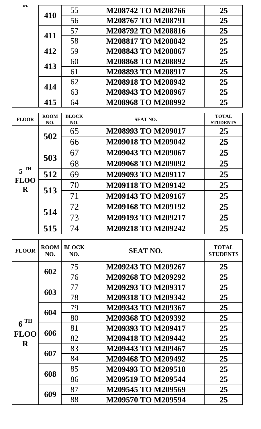| 410 | 55 | M208742 TO M208766        | 25 |
|-----|----|---------------------------|----|
|     | 56 | M208767 TO M208791        | 25 |
| 411 | 57 | M208792 TO M208816        | 25 |
|     | 58 | <b>M208817 TO M208842</b> | 25 |
| 412 | 59 | M208843 TO M208867        | 25 |
| 413 | 60 | M208868 TO M208892        | 25 |
|     | 61 | M208893 TO M208917        | 25 |
|     | 62 | M208918 TO M208942        | 25 |
| 414 | 63 | M208943 TO M208967        | 25 |
| 415 | 64 | M208968 TO M208992        | 25 |

| <b>FLOOR</b>                        | <b>ROOM</b><br>NO. | <b>BLOCK</b><br>NO. | <b>SEAT NO.</b>    | <b>TOTAL</b><br><b>STUDENTS</b> |
|-------------------------------------|--------------------|---------------------|--------------------|---------------------------------|
| $5^{\text{TH}}$<br><b>FLOO</b><br>R | 502                | 65                  | M208993 TO M209017 | 25                              |
|                                     |                    | 66                  | M209018 TO M209042 | 25                              |
|                                     | 503                | 67                  | M209043 TO M209067 | 25                              |
|                                     |                    | 68                  | M209068 TO M209092 | 25                              |
|                                     | 512                | 69                  | M209093 TO M209117 | 25                              |
|                                     | 513                | 70                  | M209118 TO M209142 | 25                              |
|                                     |                    | 71                  | M209143 TO M209167 | 25                              |
|                                     | 514                | 72                  | M209168 TO M209192 | 25                              |
|                                     |                    | 73                  | M209193 TO M209217 | 25                              |
|                                     | 515                | 74                  | M209218 TO M209242 | 25                              |

| <b>FLOOR</b> | <b>ROOM</b><br>NO. | <b>BLOCK</b><br>NO. | <b>SEAT NO.</b>           | <b>TOTAL</b><br><b>STUDENTS</b> |
|--------------|--------------------|---------------------|---------------------------|---------------------------------|
|              | 602                | 75                  | M209243 TO M209267        | 25                              |
|              |                    | 76                  | M209268 TO M209292        | 25                              |
|              | 603                | 77                  | M209293 TO M209317        | 25                              |
|              |                    | 78                  | <b>M209318 TO M209342</b> | 25                              |
| TH           | 604                | 79                  | M209343 TO M209367        | 25                              |
|              |                    | 80                  | M209368 TO M209392        | 25                              |
| 6            | 606                | 81                  | M209393 TO M209417        | 25                              |
| <b>FLOO</b>  |                    | 82                  | <b>M209418 TO M209442</b> | 25                              |
| R            | 607                | 83                  | M209443 TO M209467        | 25                              |
|              |                    | 84                  | M209468 TO M209492        | 25                              |
|              | 608                | 85                  | M209493 TO M209518        | 25                              |
|              |                    | 86                  | <b>M209519 TO M209544</b> | 25                              |
|              | 609                | 87                  | M209545 TO M209569        | 25                              |
|              |                    | 88                  | M209570 TO M209594        | 25                              |